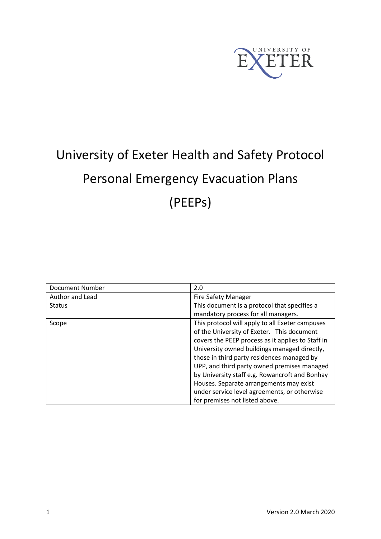

# University of Exeter Health and Safety Protocol Personal Emergency Evacuation Plans (PEEPs)

| <b>Document Number</b> | 2.0                                               |  |  |
|------------------------|---------------------------------------------------|--|--|
| Author and Lead        | <b>Fire Safety Manager</b>                        |  |  |
| <b>Status</b>          | This document is a protocol that specifies a      |  |  |
|                        | mandatory process for all managers.               |  |  |
| Scope                  | This protocol will apply to all Exeter campuses   |  |  |
|                        | of the University of Exeter. This document        |  |  |
|                        | covers the PEEP process as it applies to Staff in |  |  |
|                        | University owned buildings managed directly,      |  |  |
|                        | those in third party residences managed by        |  |  |
|                        | UPP, and third party owned premises managed       |  |  |
|                        | by University staff e.g. Rowancroft and Bonhay    |  |  |
|                        | Houses. Separate arrangements may exist           |  |  |
|                        | under service level agreements, or otherwise      |  |  |
|                        | for premises not listed above.                    |  |  |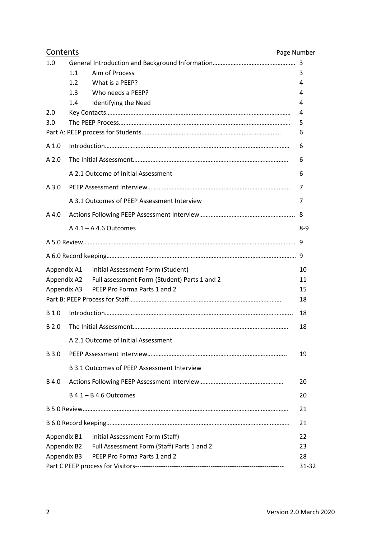| Contents     | Page Number                                              |             |
|--------------|----------------------------------------------------------|-------------|
| 1.0          |                                                          |             |
|              | Aim of Process<br>1.1                                    | 3           |
|              | What is a PEEP?<br>$1.2^{\circ}$                         | 4           |
|              | 1.3<br>Who needs a PEEP?                                 | 4           |
| 2.0          | 1.4<br>Identifying the Need                              | 4<br>4      |
| 3.0          |                                                          | 5           |
|              |                                                          | 6           |
| A 1.0        |                                                          | 6           |
| A2.0         |                                                          | 6           |
|              | A 2.1 Outcome of Initial Assessment                      | 6           |
| $A$ 3.0      |                                                          | 7           |
|              | A 3.1 Outcomes of PEEP Assessment Interview              | 7           |
| $A$ 4.0      |                                                          |             |
|              | $A$ 4.1 – A 4.6 Outcomes                                 | 8-9         |
|              |                                                          |             |
|              |                                                          |             |
|              | Appendix A1 Initial Assessment Form (Student)            | 10          |
|              | Appendix A2 Full assessment Form (Student) Parts 1 and 2 | 11          |
|              | Appendix A3 PEEP Pro Forma Parts 1 and 2                 | 15          |
|              |                                                          | 18          |
| B 1.0        |                                                          | 18          |
| B 2.0        |                                                          | 18          |
|              | A 2.1 Outcome of Initial Assessment                      |             |
| B 3.0        |                                                          | 19          |
|              | B 3.1 Outcomes of PEEP Assessment Interview              |             |
| <b>B</b> 4.0 |                                                          | 20          |
|              | $B$ 4.1 – B 4.6 Outcomes                                 | 20          |
|              |                                                          | 21          |
|              |                                                          | 21          |
| Appendix B1  | Initial Assessment Form (Staff)                          | 22          |
| Appendix B2  | Full Assessment Form (Staff) Parts 1 and 2               | 23          |
| Appendix B3  | PEEP Pro Forma Parts 1 and 2                             | 28<br>31-32 |
|              |                                                          |             |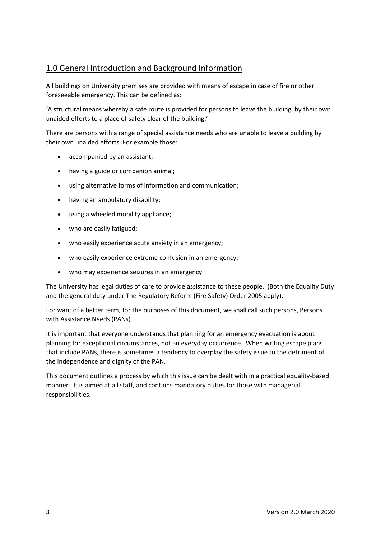# 1.0 General Introduction and Background Information

All buildings on University premises are provided with means of escape in case of fire or other foreseeable emergency. This can be defined as:

'A structural means whereby a safe route is provided for persons to leave the building, by their own unaided efforts to a place of safety clear of the building.'

There are persons with a range of special assistance needs who are unable to leave a building by their own unaided efforts. For example those:

- accompanied by an assistant;
- having a guide or companion animal;
- using alternative forms of information and communication;
- having an ambulatory disability;
- using a wheeled mobility appliance;
- who are easily fatigued;
- who easily experience acute anxiety in an emergency;
- who easily experience extreme confusion in an emergency;
- who may experience seizures in an emergency.

The University has legal duties of care to provide assistance to these people. (Both the Equality Duty and the general duty under The Regulatory Reform (Fire Safety) Order 2005 apply).

For want of a better term, for the purposes of this document, we shall call such persons, Persons with Assistance Needs (PANs)

It is important that everyone understands that planning for an emergency evacuation is about planning for exceptional circumstances, not an everyday occurrence. When writing escape plans that include PANs, there is sometimes a tendency to overplay the safety issue to the detriment of the independence and dignity of the PAN.

This document outlines a process by which this issue can be dealt with in a practical equality-based manner. It is aimed at all staff, and contains mandatory duties for those with managerial responsibilities.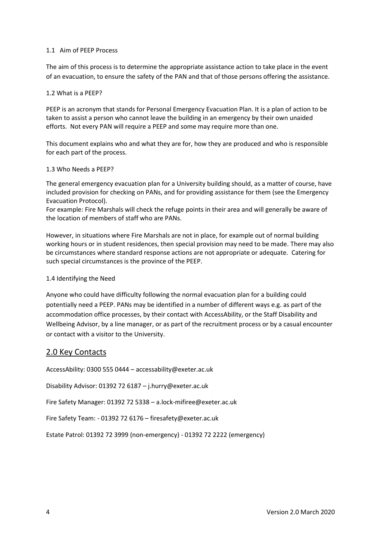#### 1.1 Aim of PEEP Process

The aim of this process is to determine the appropriate assistance action to take place in the event of an evacuation, to ensure the safety of the PAN and that of those persons offering the assistance.

#### 1.2 What is a PEEP?

PEEP is an acronym that stands for Personal Emergency Evacuation Plan. It is a plan of action to be taken to assist a person who cannot leave the building in an emergency by their own unaided efforts. Not every PAN will require a PEEP and some may require more than one.

This document explains who and what they are for, how they are produced and who is responsible for each part of the process.

#### 1.3 Who Needs a PEEP?

The general emergency evacuation plan for a University building should, as a matter of course, have included provision for checking on PANs, and for providing assistance for them (see the Emergency Evacuation Protocol).

For example: Fire Marshals will check the refuge points in their area and will generally be aware of the location of members of staff who are PANs.

However, in situations where Fire Marshals are not in place, for example out of normal building working hours or in student residences, then special provision may need to be made. There may also be circumstances where standard response actions are not appropriate or adequate. Catering for such special circumstances is the province of the PEEP.

#### 1.4 Identifying the Need

Anyone who could have difficulty following the normal evacuation plan for a building could potentially need a PEEP. PANs may be identified in a number of different ways e.g. as part of the accommodation office processes, by their contact with AccessAbility, or the Staff Disability and Wellbeing Advisor, by a line manager, or as part of the recruitment process or by a casual encounter or contact with a visitor to the University.

#### 2.0 Key Contacts

AccessAbility: 0300 555 0444 – accessability@exeter.ac.uk

Disability Advisor: 01392 72 6187 – j.hurry@exeter.ac.uk

Fire Safety Manager: 01392 72 5338 – a.lock-mifiree@exeter.ac.uk

Fire Safety Team: - 01392 72 6176 – firesafety@exeter.ac.uk

Estate Patrol: 01392 72 3999 (non-emergency) - 01392 72 2222 (emergency)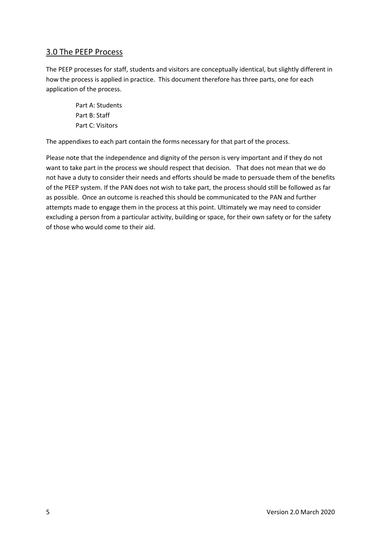# 3.0 The PEEP Process

The PEEP processes for staff, students and visitors are conceptually identical, but slightly different in how the process is applied in practice. This document therefore has three parts, one for each application of the process.

> Part A: Students Part B: Staff Part C: Visitors

The appendixes to each part contain the forms necessary for that part of the process.

Please note that the independence and dignity of the person is very important and if they do not want to take part in the process we should respect that decision. That does not mean that we do not have a duty to consider their needs and efforts should be made to persuade them of the benefits of the PEEP system. If the PAN does not wish to take part, the process should still be followed as far as possible. Once an outcome is reached this should be communicated to the PAN and further attempts made to engage them in the process at this point. Ultimately we may need to consider excluding a person from a particular activity, building or space, for their own safety or for the safety of those who would come to their aid.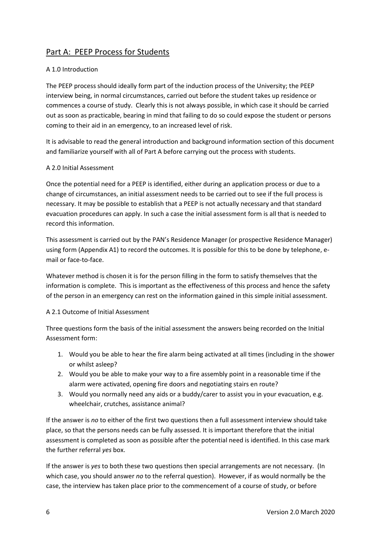# Part A: PEEP Process for Students

#### A 1.0 Introduction

The PEEP process should ideally form part of the induction process of the University; the PEEP interview being, in normal circumstances, carried out before the student takes up residence or commences a course of study. Clearly this is not always possible, in which case it should be carried out as soon as practicable, bearing in mind that failing to do so could expose the student or persons coming to their aid in an emergency, to an increased level of risk.

It is advisable to read the general introduction and background information section of this document and familiarize yourself with all of Part A before carrying out the process with students.

#### A 2.0 Initial Assessment

Once the potential need for a PEEP is identified, either during an application process or due to a change of circumstances, an initial assessment needs to be carried out to see if the full process is necessary. It may be possible to establish that a PEEP is not actually necessary and that standard evacuation procedures can apply. In such a case the initial assessment form is all that is needed to record this information.

This assessment is carried out by the PAN's Residence Manager (or prospective Residence Manager) using form (Appendix A1) to record the outcomes. It is possible for this to be done by telephone, email or face-to-face.

Whatever method is chosen it is for the person filling in the form to satisfy themselves that the information is complete. This is important as the effectiveness of this process and hence the safety of the person in an emergency can rest on the information gained in this simple initial assessment.

#### A 2.1 Outcome of Initial Assessment

Three questions form the basis of the initial assessment the answers being recorded on the Initial Assessment form:

- 1. Would you be able to hear the fire alarm being activated at all times (including in the shower or whilst asleep?
- 2. Would you be able to make your way to a fire assembly point in a reasonable time if the alarm were activated, opening fire doors and negotiating stairs en route?
- 3. Would you normally need any aids or a buddy/carer to assist you in your evacuation, e.g. wheelchair, crutches, assistance animal?

If the answer is *no* to either of the first two questions then a full assessment interview should take place, so that the persons needs can be fully assessed. It is important therefore that the initial assessment is completed as soon as possible after the potential need is identified. In this case mark the further referral *yes* box.

If the answer is *yes* to both these two questions then special arrangements are not necessary. (In which case, you should answer *no* to the referral question). However, if as would normally be the case, the interview has taken place prior to the commencement of a course of study, or before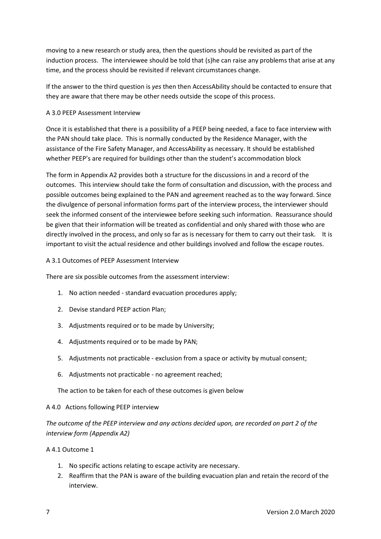moving to a new research or study area, then the questions should be revisited as part of the induction process. The interviewee should be told that (s)he can raise any problems that arise at any time, and the process should be revisited if relevant circumstances change.

If the answer to the third question is *yes* then then AccessAbility should be contacted to ensure that they are aware that there may be other needs outside the scope of this process.

#### A 3.0 PEEP Assessment Interview

Once it is established that there is a possibility of a PEEP being needed, a face to face interview with the PAN should take place. This is normally conducted by the Residence Manager, with the assistance of the Fire Safety Manager, and AccessAbility as necessary. It should be established whether PEEP's are required for buildings other than the student's accommodation block

The form in Appendix A2 provides both a structure for the discussions in and a record of the outcomes. This interview should take the form of consultation and discussion, with the process and possible outcomes being explained to the PAN and agreement reached as to the way forward. Since the divulgence of personal information forms part of the interview process, the interviewer should seek the informed consent of the interviewee before seeking such information. Reassurance should be given that their information will be treated as confidential and only shared with those who are directly involved in the process, and only so far as is necessary for them to carry out their task. It is important to visit the actual residence and other buildings involved and follow the escape routes.

#### A 3.1 Outcomes of PEEP Assessment Interview

There are six possible outcomes from the assessment interview:

- 1. No action needed standard evacuation procedures apply;
- 2. Devise standard PEEP action Plan;
- 3. Adjustments required or to be made by University;
- 4. Adjustments required or to be made by PAN;
- 5. Adjustments not practicable exclusion from a space or activity by mutual consent;
- 6. Adjustments not practicable no agreement reached;

The action to be taken for each of these outcomes is given below

#### A 4.0 Actions following PEEP interview

*The outcome of the PEEP interview and any actions decided upon, are recorded on part 2 of the interview form (Appendix A2)* 

#### A 4.1 Outcome 1

- 1. No specific actions relating to escape activity are necessary.
- 2. Reaffirm that the PAN is aware of the building evacuation plan and retain the record of the interview.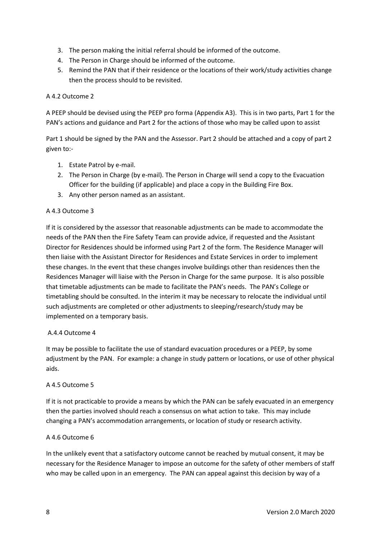- 3. The person making the initial referral should be informed of the outcome.
- 4. The Person in Charge should be informed of the outcome.
- 5. Remind the PAN that if their residence or the locations of their work/study activities change then the process should to be revisited.

#### A 4.2 Outcome 2

A PEEP should be devised using the PEEP pro forma (Appendix A3). This is in two parts, Part 1 for the PAN's actions and guidance and Part 2 for the actions of those who may be called upon to assist

Part 1 should be signed by the PAN and the Assessor. Part 2 should be attached and a copy of part 2 given to:-

- 1. Estate Patrol by e-mail.
- 2. The Person in Charge (by e-mail). The Person in Charge will send a copy to the Evacuation Officer for the building (if applicable) and place a copy in the Building Fire Box.
- 3. Any other person named as an assistant.

#### A 4.3 Outcome 3

If it is considered by the assessor that reasonable adjustments can be made to accommodate the needs of the PAN then the Fire Safety Team can provide advice, if requested and the Assistant Director for Residences should be informed using Part 2 of the form. The Residence Manager will then liaise with the Assistant Director for Residences and Estate Services in order to implement these changes. In the event that these changes involve buildings other than residences then the Residences Manager will liaise with the Person in Charge for the same purpose. It is also possible that timetable adjustments can be made to facilitate the PAN's needs. The PAN's College or timetabling should be consulted. In the interim it may be necessary to relocate the individual until such adjustments are completed or other adjustments to sleeping/research/study may be implemented on a temporary basis.

#### A.4.4 Outcome 4

It may be possible to facilitate the use of standard evacuation procedures or a PEEP, by some adjustment by the PAN. For example: a change in study pattern or locations, or use of other physical aids.

#### A 4.5 Outcome 5

If it is not practicable to provide a means by which the PAN can be safely evacuated in an emergency then the parties involved should reach a consensus on what action to take. This may include changing a PAN's accommodation arrangements, or location of study or research activity.

#### A 4.6 Outcome 6

In the unlikely event that a satisfactory outcome cannot be reached by mutual consent, it may be necessary for the Residence Manager to impose an outcome for the safety of other members of staff who may be called upon in an emergency. The PAN can appeal against this decision by way of a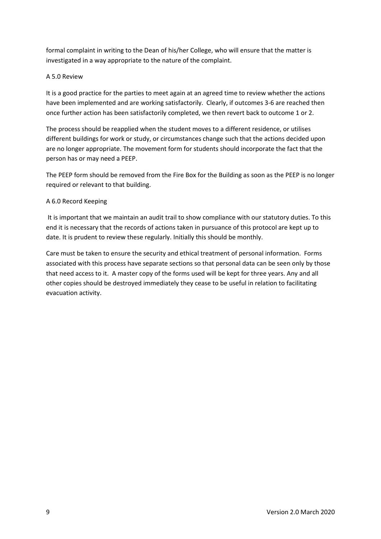formal complaint in writing to the Dean of his/her College, who will ensure that the matter is investigated in a way appropriate to the nature of the complaint.

#### A 5.0 Review

It is a good practice for the parties to meet again at an agreed time to review whether the actions have been implemented and are working satisfactorily. Clearly, if outcomes 3-6 are reached then once further action has been satisfactorily completed, we then revert back to outcome 1 or 2.

The process should be reapplied when the student moves to a different residence, or utilises different buildings for work or study, or circumstances change such that the actions decided upon are no longer appropriate. The movement form for students should incorporate the fact that the person has or may need a PEEP.

The PEEP form should be removed from the Fire Box for the Building as soon as the PEEP is no longer required or relevant to that building.

#### A 6.0 Record Keeping

It is important that we maintain an audit trail to show compliance with our statutory duties. To this end it is necessary that the records of actions taken in pursuance of this protocol are kept up to date. It is prudent to review these regularly. Initially this should be monthly.

Care must be taken to ensure the security and ethical treatment of personal information. Forms associated with this process have separate sections so that personal data can be seen only by those that need access to it. A master copy of the forms used will be kept for three years. Any and all other copies should be destroyed immediately they cease to be useful in relation to facilitating evacuation activity.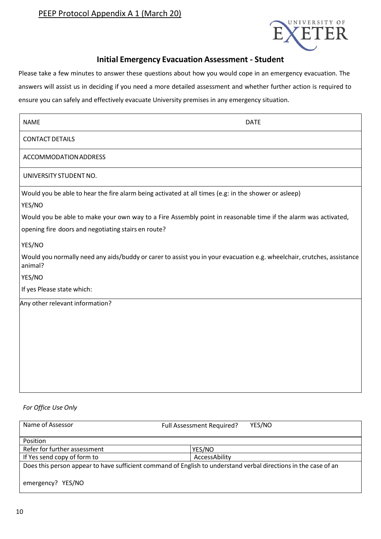

## **Initial Emergency Evacuation Assessment - Student**

Please take a few minutes to answer these questions about how you would cope in an emergency evacuation. The answers will assist us in deciding if you need a more detailed assessment and whether further action is required to ensure you can safely and effectively evacuate University premises in any emergency situation.

| <b>NAME</b><br><b>DATE</b>                                                                                                                                            |  |
|-----------------------------------------------------------------------------------------------------------------------------------------------------------------------|--|
| <b>CONTACT DETAILS</b>                                                                                                                                                |  |
| ACCOMMODATION ADDRESS                                                                                                                                                 |  |
| UNIVERSITY STUDENT NO.                                                                                                                                                |  |
| Would you be able to hear the fire alarm being activated at all times (e.g: in the shower or asleep)<br>YES/NO                                                        |  |
| Would you be able to make your own way to a Fire Assembly point in reasonable time if the alarm was activated,<br>opening fire doors and negotiating stairs en route? |  |
| YES/NO<br>Would you normally need any aids/buddy or carer to assist you in your evacuation e.g. wheelchair, crutches, assistance                                      |  |
| animal?<br>YES/NO                                                                                                                                                     |  |
| If yes Please state which:                                                                                                                                            |  |
| Any other relevant information?                                                                                                                                       |  |

#### *For Office Use Only*

| Name of Assessor                                                                                                | Full Assessment Required? | YES/NO |  |  |
|-----------------------------------------------------------------------------------------------------------------|---------------------------|--------|--|--|
| Position                                                                                                        |                           |        |  |  |
| Refer for further assessment                                                                                    | YES/NO                    |        |  |  |
| If Yes send copy of form to                                                                                     | AccessAbility             |        |  |  |
| Does this person appear to have sufficient command of English to understand verbal directions in the case of an |                           |        |  |  |
| emergency? YES/NO                                                                                               |                           |        |  |  |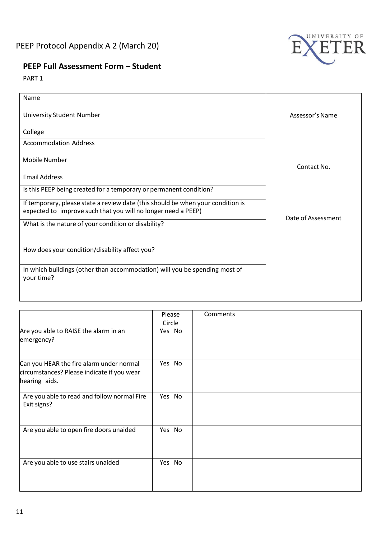

# **PEEP Full Assessment Form – Student**

PART 1

| Name                                                                                                                                             |                    |
|--------------------------------------------------------------------------------------------------------------------------------------------------|--------------------|
| University Student Number                                                                                                                        | Assessor's Name    |
| College                                                                                                                                          |                    |
| <b>Accommodation Address</b>                                                                                                                     |                    |
| <b>Mobile Number</b>                                                                                                                             | Contact No.        |
| <b>Email Address</b>                                                                                                                             |                    |
| Is this PEEP being created for a temporary or permanent condition?                                                                               |                    |
| If temporary, please state a review date (this should be when your condition is<br>expected to improve such that you will no longer need a PEEP) | Date of Assessment |
| What is the nature of your condition or disability?                                                                                              |                    |
|                                                                                                                                                  |                    |
| How does your condition/disability affect you?                                                                                                   |                    |
| In which buildings (other than accommodation) will you be spending most of<br>your time?                                                         |                    |
|                                                                                                                                                  |                    |

|                                                                                                         | Please<br>Circle | Comments |
|---------------------------------------------------------------------------------------------------------|------------------|----------|
| Are you able to RAISE the alarm in an<br>emergency?                                                     | Yes No           |          |
| Can you HEAR the fire alarm under normal<br>circumstances? Please indicate if you wear<br>hearing aids. | Yes No           |          |
| Are you able to read and follow normal Fire<br>Exit signs?                                              | Yes No           |          |
| Are you able to open fire doors unaided                                                                 | Yes No           |          |
| Are you able to use stairs unaided                                                                      | Yes No           |          |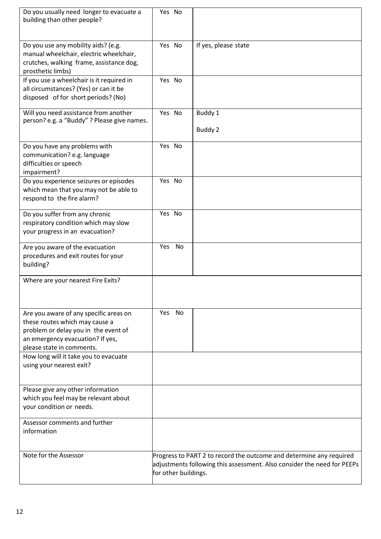| Do you usually need longer to evacuate a<br>building than other people?                                                                                                           | Yes No               |                                                                                                                                                |
|-----------------------------------------------------------------------------------------------------------------------------------------------------------------------------------|----------------------|------------------------------------------------------------------------------------------------------------------------------------------------|
| Do you use any mobility aids? (e.g.<br>manual wheelchair, electric wheelchair,<br>crutches, walking frame, assistance dog,<br>prosthetic limbs)                                   | Yes No               | If yes, please state                                                                                                                           |
| If you use a wheelchair is it required in<br>all circumstances? (Yes) or can it be<br>disposed of for short periods? (No)                                                         | Yes No               |                                                                                                                                                |
| Will you need assistance from another<br>person? e.g. a "Buddy" ? Please give names.                                                                                              | Yes No               | Buddy 1<br>Buddy 2                                                                                                                             |
| Do you have any problems with<br>communication? e.g. language<br>difficulties or speech<br>impairment?                                                                            | Yes No               |                                                                                                                                                |
| Do you experience seizures or episodes<br>which mean that you may not be able to<br>respond to the fire alarm?                                                                    | Yes No               |                                                                                                                                                |
| Do you suffer from any chronic<br>respiratory condition which may slow<br>your progress in an evacuation?                                                                         | Yes No               |                                                                                                                                                |
| Are you aware of the evacuation<br>procedures and exit routes for your<br>building?                                                                                               | Yes No               |                                                                                                                                                |
| Where are your nearest Fire Exits?                                                                                                                                                |                      |                                                                                                                                                |
| Are you aware of any specific areas on<br>these routes which may cause a<br>problem or delay you in the event of<br>an emergency evacuation? If yes,<br>please state in comments. | Yes No               |                                                                                                                                                |
| How long will it take you to evacuate<br>using your nearest exit?                                                                                                                 |                      |                                                                                                                                                |
| Please give any other information<br>which you feel may be relevant about<br>your condition or needs.                                                                             |                      |                                                                                                                                                |
| Assessor comments and further<br>information                                                                                                                                      |                      |                                                                                                                                                |
| Note for the Assessor                                                                                                                                                             | for other buildings. | Progress to PART 2 to record the outcome and determine any required<br>adjustments following this assessment. Also consider the need for PEEPs |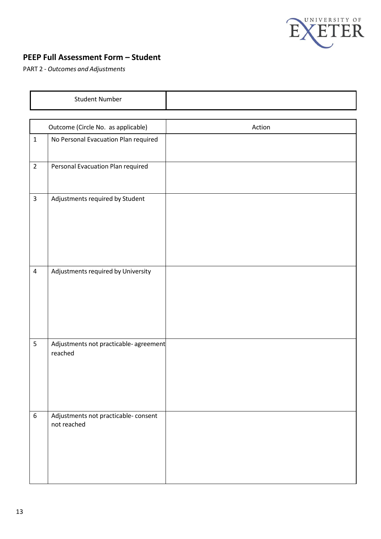

# **PEEP Full Assessment Form – Student**

PART 2 - *Outcomes and Adjustments*

|                  | <b>Student Number</b>                               |        |
|------------------|-----------------------------------------------------|--------|
|                  |                                                     |        |
|                  | Outcome (Circle No. as applicable)                  | Action |
| $\mathbf{1}$     | No Personal Evacuation Plan required                |        |
| $\overline{2}$   | Personal Evacuation Plan required                   |        |
| $\overline{3}$   | Adjustments required by Student                     |        |
| $\pmb{4}$        | Adjustments required by University                  |        |
| 5                | Adjustments not practicable- agreement<br>reached   |        |
| $\boldsymbol{6}$ | Adjustments not practicable- consent<br>not reached |        |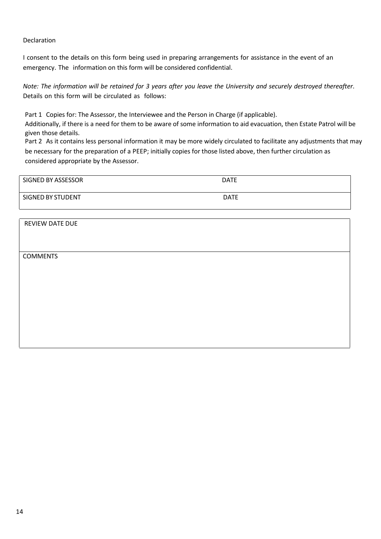#### Declaration

I consent to the details on this form being used in preparing arrangements for assistance in the event of an emergency. The information on this form will be considered confidential.

Note: The information will be retained for 3 years after you leave the University and securely destroyed thereafter. Details on this form will be circulated as follows:

Part 1 Copies for: The Assessor, the Interviewee and the Person in Charge (if applicable).

Additionally, if there is a need for them to be aware of some information to aid evacuation, then Estate Patrol will be given those details.

Part 2 As it contains less personal information it may be more widely circulated to facilitate any adjustments that may be necessary for the preparation of a PEEP; initially copies for those listed above, then further circulation as considered appropriate by the Assessor.

| SIGNED BY ASSESSOR | <b>DATE</b> |
|--------------------|-------------|
| SIGNED BY STUDENT  | <b>DATE</b> |

REVIEW DATE DUE **COMMENTS**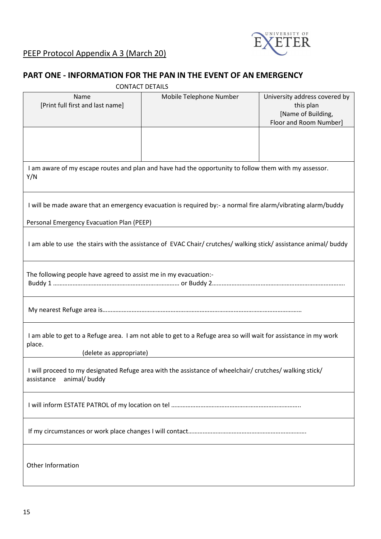

# **PART ONE - INFORMATION FOR THE PAN IN THE EVENT OF AN EMERGENCY**

|                                                                                                                                                      | <b>CONTACT DETAILS</b>  |                                                                                            |
|------------------------------------------------------------------------------------------------------------------------------------------------------|-------------------------|--------------------------------------------------------------------------------------------|
| Name<br>[Print full first and last name]                                                                                                             | Mobile Telephone Number | University address covered by<br>this plan<br>[Name of Building,<br>Floor and Room Number] |
|                                                                                                                                                      |                         |                                                                                            |
| I am aware of my escape routes and plan and have had the opportunity to follow them with my assessor.<br>Y/N                                         |                         |                                                                                            |
| I will be made aware that an emergency evacuation is required by:- a normal fire alarm/vibrating alarm/buddy                                         |                         |                                                                                            |
| Personal Emergency Evacuation Plan (PEEP)                                                                                                            |                         |                                                                                            |
| I am able to use the stairs with the assistance of EVAC Chair/ crutches/ walking stick/ assistance animal/ buddy                                     |                         |                                                                                            |
| The following people have agreed to assist me in my evacuation:-                                                                                     |                         |                                                                                            |
|                                                                                                                                                      |                         |                                                                                            |
| I am able to get to a Refuge area. I am not able to get to a Refuge area so will wait for assistance in my work<br>place.<br>(delete as appropriate) |                         |                                                                                            |
| I will proceed to my designated Refuge area with the assistance of wheelchair/ crutches/ walking stick/<br>animal/ buddy<br>assistance               |                         |                                                                                            |
|                                                                                                                                                      |                         |                                                                                            |
|                                                                                                                                                      |                         |                                                                                            |
| Other Information                                                                                                                                    |                         |                                                                                            |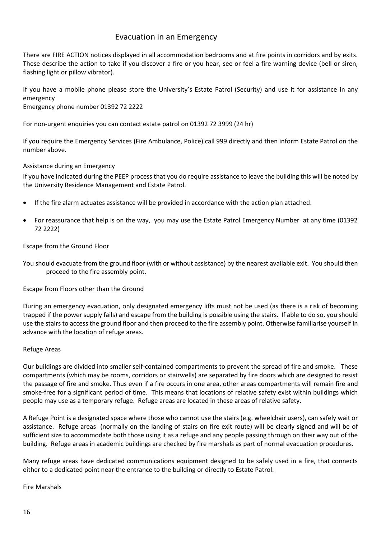## Evacuation in an Emergency

There are FIRE ACTION notices displayed in all accommodation bedrooms and at fire points in corridors and by exits. These describe the action to take if you discover a fire or you hear, see or feel a fire warning device (bell or siren, flashing light or pillow vibrator).

If you have a mobile phone please store the University's Estate Patrol (Security) and use it for assistance in any emergency Emergency phone number 01392 72 2222

For non-urgent enquiries you can contact estate patrol on 01392 72 3999 (24 hr)

If you require the Emergency Services (Fire Ambulance, Police) call 999 directly and then inform Estate Patrol on the number above.

#### Assistance during an Emergency

If you have indicated during the PEEP process that you do require assistance to leave the building this will be noted by the University Residence Management and Estate Patrol.

- If the fire alarm actuates assistance will be provided in accordance with the action plan attached.
- For reassurance that help is on the way, you may use the Estate Patrol Emergency Number at any time (01392 72 2222)

#### Escape from the Ground Floor

You should evacuate from the ground floor (with or without assistance) by the nearest available exit. You should then proceed to the fire assembly point.

Escape from Floors other than the Ground

During an emergency evacuation, only designated emergency lifts must not be used (as there is a risk of becoming trapped if the power supply fails) and escape from the building is possible using the stairs. If able to do so, you should use the stairs to access the ground floor and then proceed to the fire assembly point. Otherwise familiarise yourself in advance with the location of refuge areas.

#### Refuge Areas

Our buildings are divided into smaller self-contained compartments to prevent the spread of fire and smoke. These compartments (which may be rooms, corridors or stairwells) are separated by fire doors which are designed to resist the passage of fire and smoke. Thus even if a fire occurs in one area, other areas compartments will remain fire and smoke-free for a significant period of time. This means that locations of relative safety exist within buildings which people may use as a temporary refuge. Refuge areas are located in these areas of relative safety.

A Refuge Point is a designated space where those who cannot use the stairs (e.g. wheelchair users), can safely wait or assistance. Refuge areas (normally on the landing of stairs on fire exit route) will be clearly signed and will be of sufficient size to accommodate both those using it as a refuge and any people passing through on their way out of the building. Refuge areas in academic buildings are checked by fire marshals as part of normal evacuation procedures.

Many refuge areas have dedicated communications equipment designed to be safely used in a fire, that connects either to a dedicated point near the entrance to the building or directly to Estate Patrol.

Fire Marshals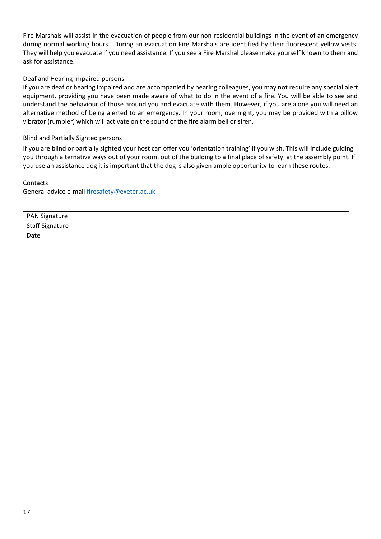Fire Marshals will assist in the evacuation of people from our non-residential buildings in the event of an emergency during normal working hours. During an evacuation Fire Marshals are identified by their fluorescent yellow vests. They will help you evacuate if you need assistance. If you see a Fire Marshal please make yourself known to them and ask for assistance.

#### Deaf and Hearing Impaired persons

If you are deaf or hearing impaired and are accompanied by hearing colleagues, you may not require any special alert equipment, providing you have been made aware of what to do in the event of a fire. You will be able to see and understand the behaviour of those around you and evacuate with them. However, if you are alone you will need an alternative method of being alerted to an emergency. In your room, overnight, you may be provided with a pillow vibrator (rumbler) which will activate on the sound of the fire alarm bell or siren.

#### Blind and Partially Sighted persons

If you are blind or partially sighted your host can offer you 'orientation training' if you wish. This will include guiding you through alternative ways out of your room, out of the building to a final place of safety, at the assembly point. If you use an assistance dog it is important that the dog is also given ample opportunity to learn these routes.

# Contacts

General advice e-mai[l firesafety@exeter.ac.uk](mailto:firesafety@exeter.ac.uk)

| <b>PAN Signature</b>         |  |
|------------------------------|--|
| <sup>I</sup> Staff Signature |  |
| Date                         |  |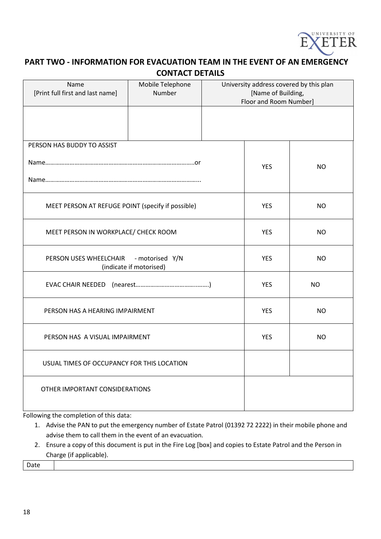

## **PART TWO - INFORMATION FOR EVACUATION TEAM IN THE EVENT OF AN EMERGENCY CONTACT DETAILS**

| Name<br>[Print full first and last name]                          | Mobile Telephone<br>Number |            |            | University address covered by this plan<br>[Name of Building,<br>Floor and Room Number] |  |
|-------------------------------------------------------------------|----------------------------|------------|------------|-----------------------------------------------------------------------------------------|--|
|                                                                   |                            |            |            |                                                                                         |  |
| PERSON HAS BUDDY TO ASSIST                                        |                            |            |            |                                                                                         |  |
|                                                                   |                            |            | <b>YES</b> | NO.                                                                                     |  |
|                                                                   |                            |            |            |                                                                                         |  |
| MEET PERSON AT REFUGE POINT (specify if possible)                 |                            |            | <b>YES</b> | <b>NO</b>                                                                               |  |
| MEET PERSON IN WORKPLACE/ CHECK ROOM                              |                            | <b>YES</b> | <b>NO</b>  |                                                                                         |  |
| PERSON USES WHEELCHAIR - motorised Y/N<br>(indicate if motorised) |                            | <b>YES</b> | <b>NO</b>  |                                                                                         |  |
|                                                                   |                            | <b>YES</b> | NO.        |                                                                                         |  |
| PERSON HAS A HEARING IMPAIRMENT                                   |                            | <b>YES</b> | <b>NO</b>  |                                                                                         |  |
| PERSON HAS A VISUAL IMPAIRMENT                                    |                            | <b>YES</b> | <b>NO</b>  |                                                                                         |  |
| USUAL TIMES OF OCCUPANCY FOR THIS LOCATION                        |                            |            |            |                                                                                         |  |
| OTHER IMPORTANT CONSIDERATIONS                                    |                            |            |            |                                                                                         |  |
|                                                                   |                            |            |            |                                                                                         |  |

Following the completion of this data:

1. Advise the PAN to put the emergency number of Estate Patrol (01392 72 2222) in their mobile phone and advise them to call them in the event of an evacuation.

2. Ensure a copy of this document is put in the Fire Log [box] and copies to Estate Patrol and the Person in Charge (if applicable).

Date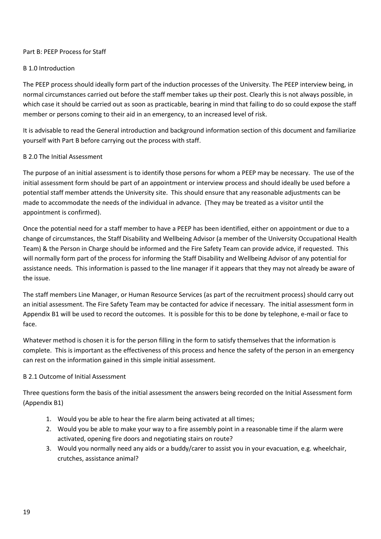#### Part B: PEEP Process for Staff

#### B 1.0 Introduction

The PEEP process should ideally form part of the induction processes of the University. The PEEP interview being, in normal circumstances carried out before the staff member takes up their post. Clearly this is not always possible, in which case it should be carried out as soon as practicable, bearing in mind that failing to do so could expose the staff member or persons coming to their aid in an emergency, to an increased level of risk.

It is advisable to read the General introduction and background information section of this document and familiarize yourself with Part B before carrying out the process with staff.

#### B 2.0 The Initial Assessment

The purpose of an initial assessment is to identify those persons for whom a PEEP may be necessary. The use of the initial assessment form should be part of an appointment or interview process and should ideally be used before a potential staff member attends the University site. This should ensure that any reasonable adjustments can be made to accommodate the needs of the individual in advance. (They may be treated as a visitor until the appointment is confirmed).

Once the potential need for a staff member to have a PEEP has been identified, either on appointment or due to a change of circumstances, the Staff Disability and Wellbeing Advisor (a member of the University Occupational Health Team) & the Person in Charge should be informed and the Fire Safety Team can provide advice, if requested. This will normally form part of the process for informing the Staff Disability and Wellbeing Advisor of any potential for assistance needs. This information is passed to the line manager if it appears that they may not already be aware of the issue.

The staff members Line Manager, or Human Resource Services (as part of the recruitment process) should carry out an initial assessment. The Fire Safety Team may be contacted for advice if necessary. The initial assessment form in Appendix B1 will be used to record the outcomes. It is possible for this to be done by telephone, e-mail or face to face.

Whatever method is chosen it is for the person filling in the form to satisfy themselves that the information is complete. This is important as the effectiveness of this process and hence the safety of the person in an emergency can rest on the information gained in this simple initial assessment.

#### B 2.1 Outcome of Initial Assessment

Three questions form the basis of the initial assessment the answers being recorded on the Initial Assessment form (Appendix B1)

- 1. Would you be able to hear the fire alarm being activated at all times;
- 2. Would you be able to make your way to a fire assembly point in a reasonable time if the alarm were activated, opening fire doors and negotiating stairs on route?
- 3. Would you normally need any aids or a buddy/carer to assist you in your evacuation, e.g. wheelchair, crutches, assistance animal?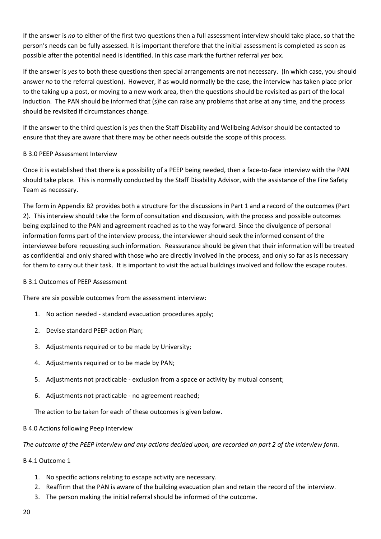If the answer is *no* to either of the first two questions then a full assessment interview should take place, so that the person's needs can be fully assessed. It is important therefore that the initial assessment is completed as soon as possible after the potential need is identified. In this case mark the further referral *yes* box.

If the answer is *yes* to both these questions then special arrangements are not necessary. (In which case, you should answer *no* to the referral question). However, if as would normally be the case, the interview has taken place prior to the taking up a post, or moving to a new work area, then the questions should be revisited as part of the local induction. The PAN should be informed that (s)he can raise any problems that arise at any time, and the process should be revisited if circumstances change.

If the answer to the third question is *yes* then the Staff Disability and Wellbeing Advisor should be contacted to ensure that they are aware that there may be other needs outside the scope of this process.

#### B 3.0 PEEP Assessment Interview

Once it is established that there is a possibility of a PEEP being needed, then a face-to-face interview with the PAN should take place. This is normally conducted by the Staff Disability Advisor, with the assistance of the Fire Safety Team as necessary.

The form in Appendix B2 provides both a structure for the discussions in Part 1 and a record of the outcomes (Part 2). This interview should take the form of consultation and discussion, with the process and possible outcomes being explained to the PAN and agreement reached as to the way forward. Since the divulgence of personal information forms part of the interview process, the interviewer should seek the informed consent of the interviewee before requesting such information. Reassurance should be given that their information will be treated as confidential and only shared with those who are directly involved in the process, and only so far as is necessary for them to carry out their task. It is important to visit the actual buildings involved and follow the escape routes.

#### B 3.1 Outcomes of PEEP Assessment

There are six possible outcomes from the assessment interview:

- 1. No action needed standard evacuation procedures apply;
- 2. Devise standard PEEP action Plan;
- 3. Adjustments required or to be made by University;
- 4. Adjustments required or to be made by PAN;
- 5. Adjustments not practicable exclusion from a space or activity by mutual consent;
- 6. Adjustments not practicable no agreement reached;

The action to be taken for each of these outcomes is given below.

#### B 4.0 Actions following Peep interview

*The outcome of the PEEP interview and any actions decided upon, are recorded on part 2 of the interview form.*

#### B 4.1 Outcome 1

- 1. No specific actions relating to escape activity are necessary.
- 2. Reaffirm that the PAN is aware of the building evacuation plan and retain the record of the interview.
- 3. The person making the initial referral should be informed of the outcome.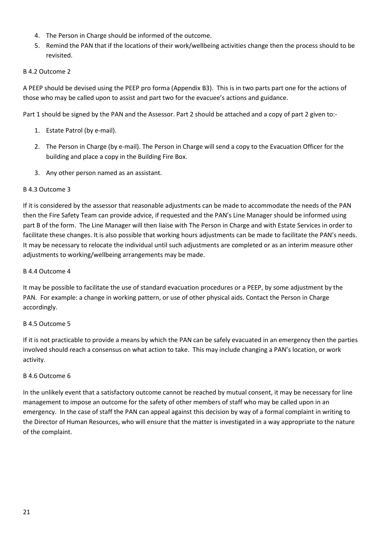- 4. The Person in Charge should be informed of the outcome.
- 5. Remind the PAN that if the locations of their work/wellbeing activities change then the process should to be revisited.

#### B 4.2 Outcome 2

A PEEP should be devised using the PEEP pro forma (Appendix B3). This is in two parts part one for the actions of those who may be called upon to assist and part two for the evacuee's actions and guidance.

Part 1 should be signed by the PAN and the Assessor. Part 2 should be attached and a copy of part 2 given to:-

- 1. Estate Patrol (by e-mail).
- 2. The Person in Charge (by e-mail). The Person in Charge will send a copy to the Evacuation Officer for the building and place a copy in the Building Fire Box.
- 3. Any other person named as an assistant.

#### B 4.3 Outcome 3

If it is considered by the assessor that reasonable adjustments can be made to accommodate the needs of the PAN then the Fire Safety Team can provide advice, if requested and the PAN's Line Manager should be informed using part B of the form. The Line Manager will then liaise with The Person in Charge and with Estate Services in order to facilitate these changes. It is also possible that working hours adjustments can be made to facilitate the PAN's needs. It may be necessary to relocate the individual until such adjustments are completed or as an interim measure other adjustments to working/wellbeing arrangements may be made.

#### B 4.4 Outcome 4

It may be possible to facilitate the use of standard evacuation procedures or a PEEP, by some adjustment by the PAN. For example: a change in working pattern, or use of other physical aids. Contact the Person in Charge accordingly.

#### B 4.5 Outcome 5

If it is not practicable to provide a means by which the PAN can be safely evacuated in an emergency then the parties involved should reach a consensus on what action to take. This may include changing a PAN's location, or work activity.

#### B 4.6 Outcome 6

In the unlikely event that a satisfactory outcome cannot be reached by mutual consent, it may be necessary for line management to impose an outcome for the safety of other members of staff who may be called upon in an emergency. In the case of staff the PAN can appeal against this decision by way of a formal complaint in writing to the Director of Human Resources, who will ensure that the matter is investigated in a way appropriate to the nature of the complaint.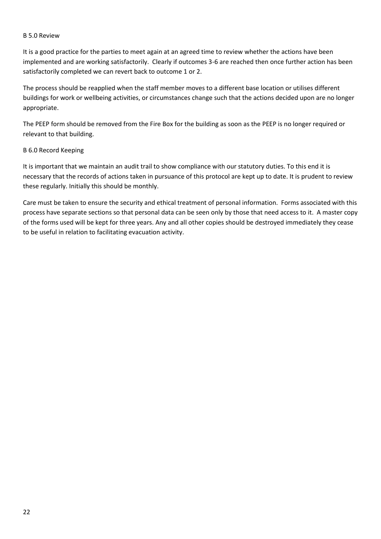#### B 5.0 Review

It is a good practice for the parties to meet again at an agreed time to review whether the actions have been implemented and are working satisfactorily. Clearly if outcomes 3-6 are reached then once further action has been satisfactorily completed we can revert back to outcome 1 or 2.

The process should be reapplied when the staff member moves to a different base location or utilises different buildings for work or wellbeing activities, or circumstances change such that the actions decided upon are no longer appropriate.

The PEEP form should be removed from the Fire Box for the building as soon as the PEEP is no longer required or relevant to that building.

#### B 6.0 Record Keeping

It is important that we maintain an audit trail to show compliance with our statutory duties. To this end it is necessary that the records of actions taken in pursuance of this protocol are kept up to date. It is prudent to review these regularly. Initially this should be monthly.

Care must be taken to ensure the security and ethical treatment of personal information. Forms associated with this process have separate sections so that personal data can be seen only by those that need access to it. A master copy of the forms used will be kept for three years. Any and all other copies should be destroyed immediately they cease to be useful in relation to facilitating evacuation activity.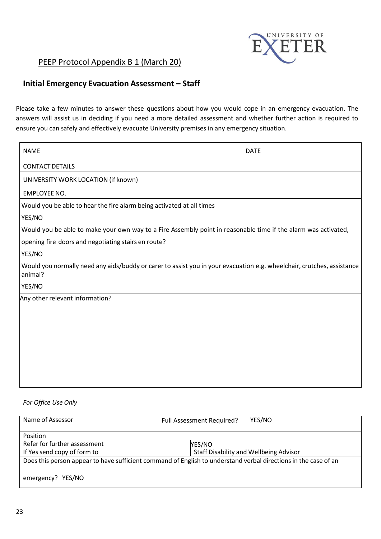

# PEEP Protocol Appendix B 1 (March 20)

# **Initial Emergency Evacuation Assessment – Staff**

Please take a few minutes to answer these questions about how you would cope in an emergency evacuation. The answers will assist us in deciding if you need a more detailed assessment and whether further action is required to ensure you can safely and effectively evacuate University premises in any emergency situation.

| <b>NAME</b>                                                           | <b>DATE</b>                                                                                                            |
|-----------------------------------------------------------------------|------------------------------------------------------------------------------------------------------------------------|
| <b>CONTACT DETAILS</b>                                                |                                                                                                                        |
| UNIVERSITY WORK LOCATION (if known)                                   |                                                                                                                        |
| <b>EMPLOYEE NO.</b>                                                   |                                                                                                                        |
| Would you be able to hear the fire alarm being activated at all times |                                                                                                                        |
| YES/NO                                                                |                                                                                                                        |
|                                                                       | Would you be able to make your own way to a Fire Assembly point in reasonable time if the alarm was activated,         |
| opening fire doors and negotiating stairs en route?                   |                                                                                                                        |
| YES/NO                                                                |                                                                                                                        |
| animal?                                                               | Would you normally need any aids/buddy or carer to assist you in your evacuation e.g. wheelchair, crutches, assistance |
| YES/NO                                                                |                                                                                                                        |
| Any other relevant information?                                       |                                                                                                                        |
|                                                                       |                                                                                                                        |
|                                                                       |                                                                                                                        |
|                                                                       |                                                                                                                        |
|                                                                       |                                                                                                                        |
|                                                                       |                                                                                                                        |
|                                                                       |                                                                                                                        |
|                                                                       |                                                                                                                        |

#### *For Office Use Only*

| Name of Assessor                                                                                                | <b>Full Assessment Required?</b> | YES/NO                                        |
|-----------------------------------------------------------------------------------------------------------------|----------------------------------|-----------------------------------------------|
| Position                                                                                                        |                                  |                                               |
| Refer for further assessment                                                                                    | YES/NO                           |                                               |
| If Yes send copy of form to                                                                                     |                                  | <b>Staff Disability and Wellbeing Advisor</b> |
| Does this person appear to have sufficient command of English to understand verbal directions in the case of an |                                  |                                               |
| emergency? YES/NO                                                                                               |                                  |                                               |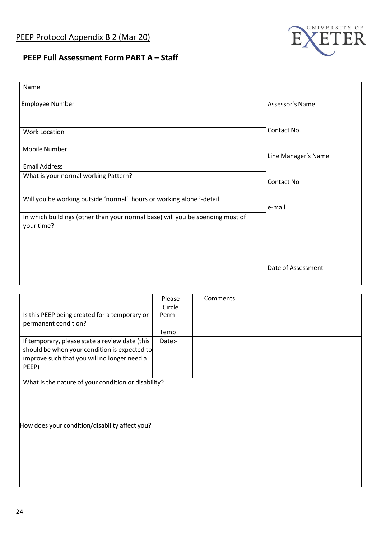

# **PEEP Full Assessment Form PART A – Staff**

| Name                                                                                        |                     |
|---------------------------------------------------------------------------------------------|---------------------|
| Employee Number                                                                             | Assessor's Name     |
| Work Location                                                                               | Contact No.         |
| <b>Mobile Number</b>                                                                        | Line Manager's Name |
| <b>Email Address</b>                                                                        |                     |
| What is your normal working Pattern?                                                        | Contact No          |
| Will you be working outside 'normal' hours or working alone?-detail                         | e-mail              |
| In which buildings (other than your normal base) will you be spending most of<br>your time? |                     |
|                                                                                             |                     |
|                                                                                             |                     |
|                                                                                             | Date of Assessment  |

|                                                     | Please | Comments |
|-----------------------------------------------------|--------|----------|
|                                                     | Circle |          |
| Is this PEEP being created for a temporary or       | Perm   |          |
| permanent condition?                                |        |          |
|                                                     | Temp   |          |
| If temporary, please state a review date (this      | Date:- |          |
| should be when your condition is expected to        |        |          |
| improve such that you will no longer need a         |        |          |
| PEEP)                                               |        |          |
|                                                     |        |          |
| What is the nature of your condition or disability? |        |          |

How does your condition/disability affect you?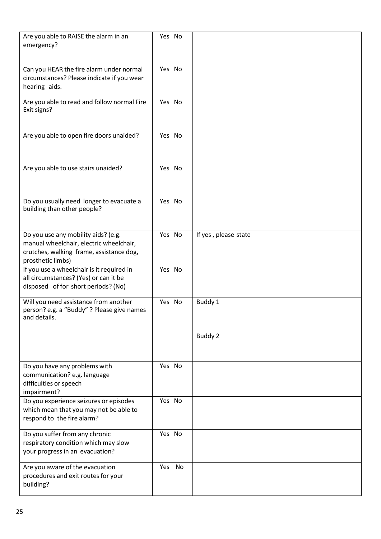| Are you able to RAISE the alarm in an<br>emergency?                                                                                             | Yes No |                      |
|-------------------------------------------------------------------------------------------------------------------------------------------------|--------|----------------------|
| Can you HEAR the fire alarm under normal<br>circumstances? Please indicate if you wear<br>hearing aids.                                         | Yes No |                      |
| Are you able to read and follow normal Fire<br>Exit signs?                                                                                      | Yes No |                      |
| Are you able to open fire doors unaided?                                                                                                        | Yes No |                      |
| Are you able to use stairs unaided?                                                                                                             | Yes No |                      |
| Do you usually need longer to evacuate a<br>building than other people?                                                                         | Yes No |                      |
| Do you use any mobility aids? (e.g.<br>manual wheelchair, electric wheelchair,<br>crutches, walking frame, assistance dog,<br>prosthetic limbs) | Yes No | If yes, please state |
| If you use a wheelchair is it required in<br>all circumstances? (Yes) or can it be<br>disposed of for short periods? (No)                       | Yes No |                      |
| Will you need assistance from another<br>person? e.g. a "Buddy" ? Please give names<br>and details.                                             | Yes No | Buddy 1              |
|                                                                                                                                                 |        | Buddy 2              |
| Do you have any problems with<br>communication? e.g. language<br>difficulties or speech<br>impairment?                                          | Yes No |                      |
| Do you experience seizures or episodes<br>which mean that you may not be able to<br>respond to the fire alarm?                                  | Yes No |                      |
| Do you suffer from any chronic<br>respiratory condition which may slow<br>your progress in an evacuation?                                       | Yes No |                      |
| Are you aware of the evacuation<br>procedures and exit routes for your<br>building?                                                             | Yes No |                      |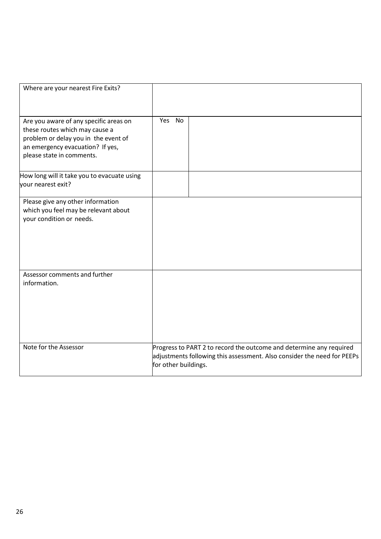| Where are your nearest Fire Exits?                                                                                                                                                |                      |           |                                                                                                                                                |
|-----------------------------------------------------------------------------------------------------------------------------------------------------------------------------------|----------------------|-----------|------------------------------------------------------------------------------------------------------------------------------------------------|
| Are you aware of any specific areas on<br>these routes which may cause a<br>problem or delay you in the event of<br>an emergency evacuation? If yes,<br>please state in comments. | Yes                  | <b>No</b> |                                                                                                                                                |
| How long will it take you to evacuate using<br>your nearest exit?                                                                                                                 |                      |           |                                                                                                                                                |
| Please give any other information<br>which you feel may be relevant about<br>your condition or needs.                                                                             |                      |           |                                                                                                                                                |
| Assessor comments and further<br>information.                                                                                                                                     |                      |           |                                                                                                                                                |
| Note for the Assessor                                                                                                                                                             | for other buildings. |           | Progress to PART 2 to record the outcome and determine any required<br>adjustments following this assessment. Also consider the need for PEEPs |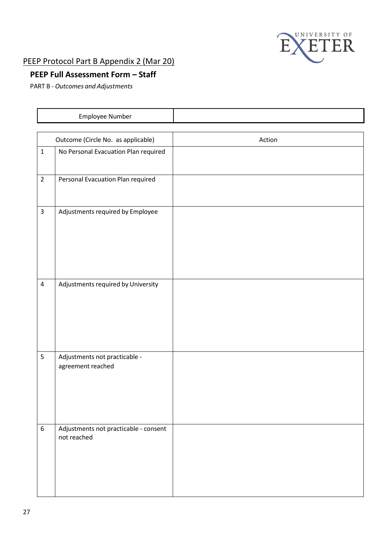

# PEEP Protocol Part B Appendix 2 (Mar 20)

# **PEEP Full Assessment Form – Staff**

PART B - *Outcomes and Adjustments*

|                  | Employee Number                                      |        |
|------------------|------------------------------------------------------|--------|
|                  |                                                      |        |
|                  | Outcome (Circle No. as applicable)                   | Action |
| $\mathbf 1$      | No Personal Evacuation Plan required                 |        |
| $\overline{2}$   | Personal Evacuation Plan required                    |        |
| $\overline{3}$   | Adjustments required by Employee                     |        |
| $\overline{4}$   | Adjustments required by University                   |        |
| 5                | Adjustments not practicable -<br>agreement reached   |        |
| $\boldsymbol{6}$ | Adjustments not practicable - consent<br>not reached |        |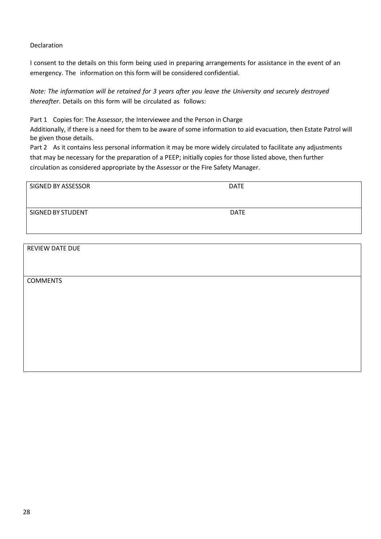Declaration

I consent to the details on this form being used in preparing arrangements for assistance in the event of an emergency. The information on this form will be considered confidential.

*Note: The information will be retained for 3 years after you leave the University and securely destroyed thereafter*. Details on this form will be circulated as follows:

Part 1 Copies for: The Assessor, the Interviewee and the Person in Charge

Additionally, if there is a need for them to be aware of some information to aid evacuation, then Estate Patrol will be given those details.

Part 2 As it contains less personal information it may be more widely circulated to facilitate any adjustments that may be necessary for the preparation of a PEEP; initially copies for those listed above, then further circulation as considered appropriate by the Assessor or the Fire Safety Manager.

| SIGNED BY ASSESSOR       | <b>DATE</b> |
|--------------------------|-------------|
| <b>SIGNED BY STUDENT</b> | <b>DATE</b> |
|                          |             |

REVIEW DATE DUE COMMENTS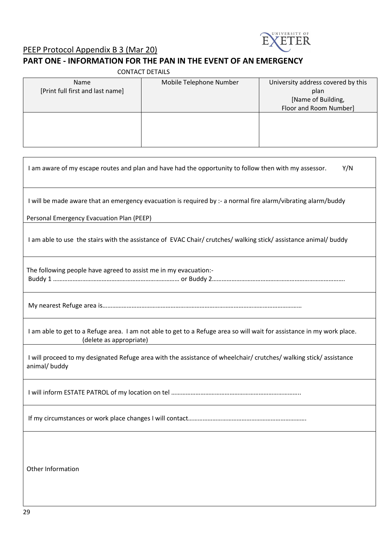

# PEEP Protocol Appendix B 3 (Mar 20)

# **PART ONE - INFORMATION FOR THE PAN IN THE EVENT OF AN EMERGENCY**

| <b>CONTACT DETAILS</b>           |                         |                                    |  |  |
|----------------------------------|-------------------------|------------------------------------|--|--|
| Name                             | Mobile Telephone Number | University address covered by this |  |  |
| [Print full first and last name] |                         | plan                               |  |  |
|                                  |                         | [Name of Building,                 |  |  |
|                                  |                         | Floor and Room Number]             |  |  |
|                                  |                         |                                    |  |  |
|                                  |                         |                                    |  |  |
|                                  |                         |                                    |  |  |
|                                  |                         |                                    |  |  |

| I am aware of my escape routes and plan and have had the opportunity to follow then with my assessor.<br>Y/N                                      |
|---------------------------------------------------------------------------------------------------------------------------------------------------|
| I will be made aware that an emergency evacuation is required by :- a normal fire alarm/vibrating alarm/buddy                                     |
| Personal Emergency Evacuation Plan (PEEP)                                                                                                         |
| I am able to use the stairs with the assistance of EVAC Chair/ crutches/ walking stick/ assistance animal/ buddy                                  |
| The following people have agreed to assist me in my evacuation:-                                                                                  |
|                                                                                                                                                   |
| I am able to get to a Refuge area. I am not able to get to a Refuge area so will wait for assistance in my work place.<br>(delete as appropriate) |
| I will proceed to my designated Refuge area with the assistance of wheelchair/crutches/walking stick/assistance<br>animal/buddy                   |
|                                                                                                                                                   |
|                                                                                                                                                   |
|                                                                                                                                                   |
| Other Information                                                                                                                                 |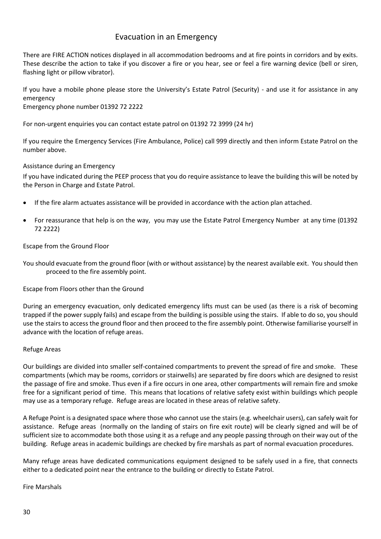## Evacuation in an Emergency

There are FIRE ACTION notices displayed in all accommodation bedrooms and at fire points in corridors and by exits. These describe the action to take if you discover a fire or you hear, see or feel a fire warning device (bell or siren, flashing light or pillow vibrator).

If you have a mobile phone please store the University's Estate Patrol (Security) - and use it for assistance in any emergency Emergency phone number 01392 72 2222

For non-urgent enquiries you can contact estate patrol on 01392 72 3999 (24 hr)

If you require the Emergency Services (Fire Ambulance, Police) call 999 directly and then inform Estate Patrol on the number above.

#### Assistance during an Emergency

If you have indicated during the PEEP process that you do require assistance to leave the building this will be noted by the Person in Charge and Estate Patrol.

- If the fire alarm actuates assistance will be provided in accordance with the action plan attached.
- For reassurance that help is on the way, you may use the Estate Patrol Emergency Number at any time (01392 72 2222)

#### Escape from the Ground Floor

You should evacuate from the ground floor (with or without assistance) by the nearest available exit. You should then proceed to the fire assembly point.

Escape from Floors other than the Ground

During an emergency evacuation, only dedicated emergency lifts must can be used (as there is a risk of becoming trapped if the power supply fails) and escape from the building is possible using the stairs. If able to do so, you should use the stairs to access the ground floor and then proceed to the fire assembly point. Otherwise familiarise yourself in advance with the location of refuge areas.

#### Refuge Areas

Our buildings are divided into smaller self-contained compartments to prevent the spread of fire and smoke. These compartments (which may be rooms, corridors or stairwells) are separated by fire doors which are designed to resist the passage of fire and smoke. Thus even if a fire occurs in one area, other compartments will remain fire and smoke free for a significant period of time. This means that locations of relative safety exist within buildings which people may use as a temporary refuge. Refuge areas are located in these areas of relative safety.

A Refuge Point is a designated space where those who cannot use the stairs (e.g. wheelchair users), can safely wait for assistance. Refuge areas (normally on the landing of stairs on fire exit route) will be clearly signed and will be of sufficient size to accommodate both those using it as a refuge and any people passing through on their way out of the building. Refuge areas in academic buildings are checked by fire marshals as part of normal evacuation procedures.

Many refuge areas have dedicated communications equipment designed to be safely used in a fire, that connects either to a dedicated point near the entrance to the building or directly to Estate Patrol.

Fire Marshals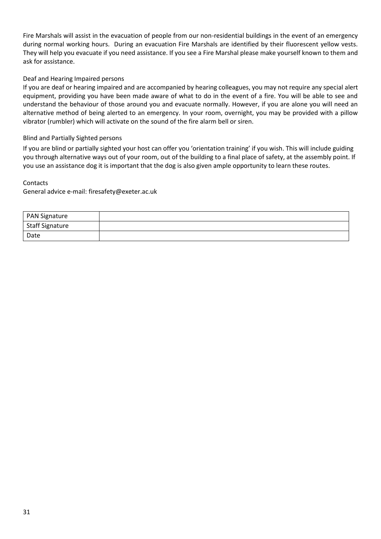Fire Marshals will assist in the evacuation of people from our non-residential buildings in the event of an emergency during normal working hours. During an evacuation Fire Marshals are identified by their fluorescent yellow vests. They will help you evacuate if you need assistance. If you see a Fire Marshal please make yourself known to them and ask for assistance.

#### Deaf and Hearing Impaired persons

If you are deaf or hearing impaired and are accompanied by hearing colleagues, you may not require any special alert equipment, providing you have been made aware of what to do in the event of a fire. You will be able to see and understand the behaviour of those around you and evacuate normally. However, if you are alone you will need an alternative method of being alerted to an emergency. In your room, overnight, you may be provided with a pillow vibrator (rumbler) which will activate on the sound of the fire alarm bell or siren.

#### Blind and Partially Sighted persons

If you are blind or partially sighted your host can offer you 'orientation training' if you wish. This will include guiding you through alternative ways out of your room, out of the building to a final place of safety, at the assembly point. If you use an assistance dog it is important that the dog is also given ample opportunity to learn these routes.

#### Contacts

General advice e-mail: firesafety@exeter.ac.uk

| <b>PAN Signature</b>         |  |
|------------------------------|--|
| <sup>I</sup> Staff Signature |  |
| Date                         |  |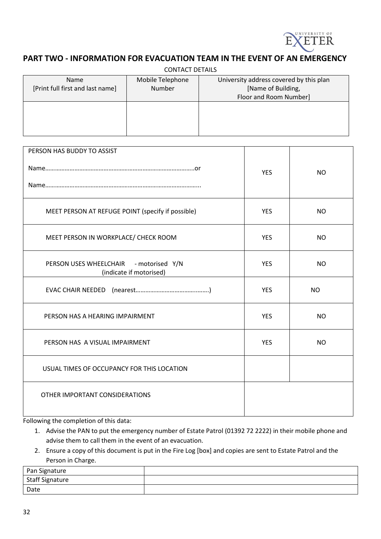

#### **PART TWO - INFORMATION FOR EVACUATION TEAM IN THE EVENT OF AN EMERGENCY**

| <b>CONTACT DETAILS</b>           |                  |                                         |  |  |
|----------------------------------|------------------|-----------------------------------------|--|--|
| <b>Name</b>                      | Mobile Telephone | University address covered by this plan |  |  |
| [Print full first and last name] | Number           | [Name of Building,                      |  |  |
|                                  |                  | Floor and Room Number]                  |  |  |
|                                  |                  |                                         |  |  |
|                                  |                  |                                         |  |  |
|                                  |                  |                                         |  |  |
|                                  |                  |                                         |  |  |

| <b>YES</b> | <b>NO</b> |
|------------|-----------|
| <b>YES</b> | <b>NO</b> |
| <b>YES</b> | <b>NO</b> |
| <b>YES</b> | <b>NO</b> |
| <b>YES</b> | NO.       |
| <b>YES</b> | <b>NO</b> |
| <b>YES</b> | <b>NO</b> |
|            |           |
|            |           |
|            |           |

Following the completion of this data:

1. Advise the PAN to put the emergency number of Estate Patrol (01392 72 2222) in their mobile phone and advise them to call them in the event of an evacuation.

2. Ensure a copy of this document is put in the Fire Log [box] and copies are sent to Estate Patrol and the Person in Charge.

| Pan Signature   |  |
|-----------------|--|
| Staff Signature |  |
| Date            |  |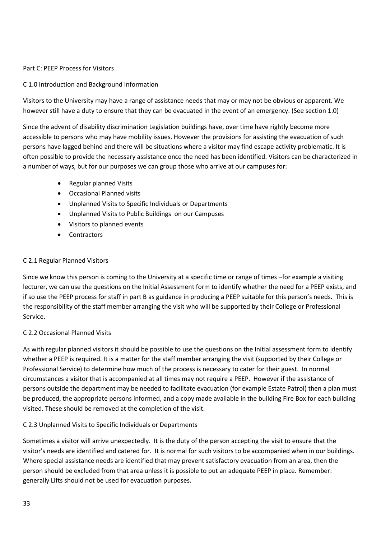#### Part C: PEEP Process for Visitors

#### C 1.0 Introduction and Background Information

Visitors to the University may have a range of assistance needs that may or may not be obvious or apparent. We however still have a duty to ensure that they can be evacuated in the event of an emergency. (See section 1.0)

Since the advent of disability discrimination Legislation buildings have, over time have rightly become more accessible to persons who may have mobility issues. However the provisions for assisting the evacuation of such persons have lagged behind and there will be situations where a visitor may find escape activity problematic. It is often possible to provide the necessary assistance once the need has been identified. Visitors can be characterized in a number of ways, but for our purposes we can group those who arrive at our campuses for:

- Regular planned Visits
- Occasional Planned visits
- Unplanned Visits to Specific Individuals or Departments
- Unplanned Visits to Public Buildings on our Campuses
- Visitors to planned events
- Contractors

#### C 2.1 Regular Planned Visitors

Since we know this person is coming to the University at a specific time or range of times –for example a visiting lecturer, we can use the questions on the Initial Assessment form to identify whether the need for a PEEP exists, and if so use the PEEP process for staff in part B as guidance in producing a PEEP suitable for this person's needs. This is the responsibility of the staff member arranging the visit who will be supported by their College or Professional Service.

#### C 2.2 Occasional Planned Visits

As with regular planned visitors it should be possible to use the questions on the Initial assessment form to identify whether a PEEP is required. It is a matter for the staff member arranging the visit (supported by their College or Professional Service) to determine how much of the process is necessary to cater for their guest. In normal circumstances a visitor that is accompanied at all times may not require a PEEP. However if the assistance of persons outside the department may be needed to facilitate evacuation (for example Estate Patrol) then a plan must be produced, the appropriate persons informed, and a copy made available in the building Fire Box for each building visited. These should be removed at the completion of the visit.

#### C 2.3 Unplanned Visits to Specific Individuals or Departments

Sometimes a visitor will arrive unexpectedly. It is the duty of the person accepting the visit to ensure that the visitor's needs are identified and catered for. It is normal for such visitors to be accompanied when in our buildings. Where special assistance needs are identified that may prevent satisfactory evacuation from an area, then the person should be excluded from that area unless it is possible to put an adequate PEEP in place. Remember: generally Lifts should not be used for evacuation purposes.